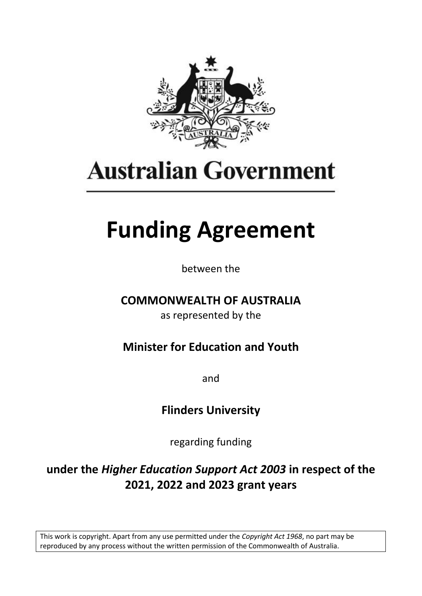

# **Australian Government**

# **Funding Agreement**

between the

## **COMMONWEALTH OF AUSTRALIA**

as represented by the

**Minister for Education and Youth**

and

## **Flinders University**

regarding funding

**under the** *Higher Education Support Act 2003* **in respect of the 2021, 2022 and 2023 grant years**

This work is copyright. Apart from any use permitted under the *Copyright Act 1968*, no part may be reproduced by any process without the written permission of the Commonwealth of Australia.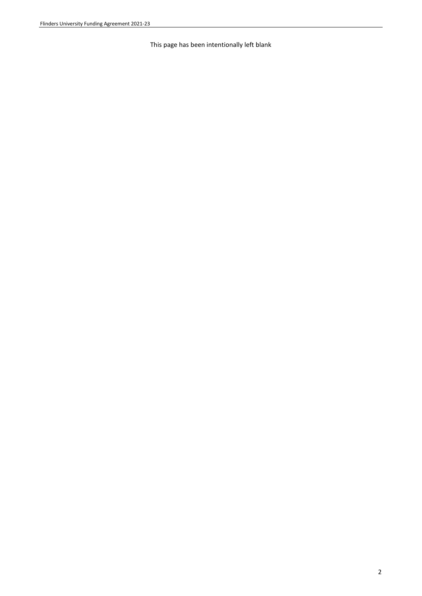This page has been intentionally left blank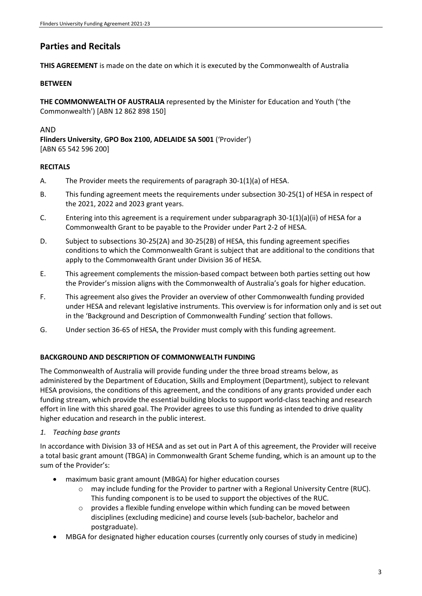### **Parties and Recitals**

**THIS AGREEMENT** is made on the date on which it is executed by the Commonwealth of Australia

#### **BETWEEN**

**THE COMMONWEALTH OF AUSTRALIA** represented by the Minister for Education and Youth ('the Commonwealth') [ABN 12 862 898 150]

#### AND

**Flinders University**, **GPO Box 2100, ADELAIDE SA 5001** ('Provider') [ABN 65 542 596 200]

#### **RECITALS**

- A. The Provider meets the requirements of paragraph 30-1(1)(a) of HESA.
- B. This funding agreement meets the requirements under subsection 30-25(1) of HESA in respect of the 2021, 2022 and 2023 grant years.
- C. Entering into this agreement is a requirement under subparagraph 30-1(1)(a)(ii) of HESA for a Commonwealth Grant to be payable to the Provider under Part 2-2 of HESA.
- D. Subject to subsections 30-25(2A) and 30-25(2B) of HESA, this funding agreement specifies conditions to which the Commonwealth Grant is subject that are additional to the conditions that apply to the Commonwealth Grant under Division 36 of HESA.
- E. This agreement complements the mission-based compact between both parties setting out how the Provider's mission aligns with the Commonwealth of Australia's goals for higher education.
- F. This agreement also gives the Provider an overview of other Commonwealth funding provided under HESA and relevant legislative instruments. This overview is for information only and is set out in the 'Background and Description of Commonwealth Funding' section that follows.
- G. Under section 36-65 of HESA, the Provider must comply with this funding agreement.

#### **BACKGROUND AND DESCRIPTION OF COMMONWEALTH FUNDING**

The Commonwealth of Australia will provide funding under the three broad streams below, as administered by the Department of Education, Skills and Employment (Department), subject to relevant HESA provisions, the conditions of this agreement, and the conditions of any grants provided under each funding stream, which provide the essential building blocks to support world-class teaching and research effort in line with this shared goal. The Provider agrees to use this funding as intended to drive quality higher education and research in the public interest.

#### *1. Teaching base grants*

In accordance with Division 33 of HESA and as set out in Part A of this agreement, the Provider will receive a total basic grant amount (TBGA) in Commonwealth Grant Scheme funding, which is an amount up to the sum of the Provider's:

- maximum basic grant amount (MBGA) for higher education courses
	- o may include funding for the Provider to partner with a Regional University Centre (RUC). This funding component is to be used to support the objectives of the RUC.
	- $\circ$  provides a flexible funding envelope within which funding can be moved between disciplines (excluding medicine) and course levels (sub-bachelor, bachelor and postgraduate).
- MBGA for designated higher education courses (currently only courses of study in medicine)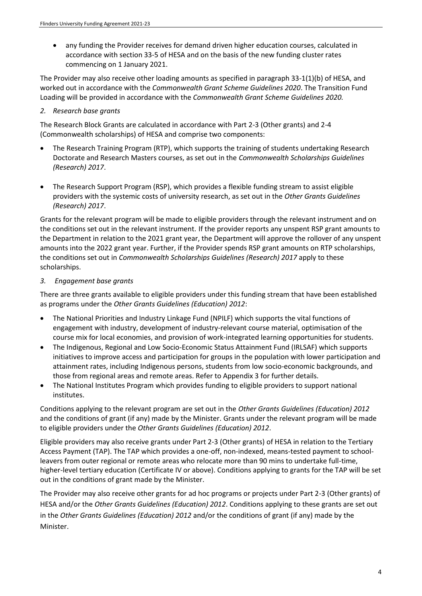• any funding the Provider receives for demand driven higher education courses, calculated in accordance with section 33-5 of HESA and on the basis of the new funding cluster rates commencing on 1 January 2021.

The Provider may also receive other loading amounts as specified in paragraph 33-1(1)(b) of HESA, and worked out in accordance with the *Commonwealth Grant Scheme Guidelines 2020*. The Transition Fund Loading will be provided in accordance with the *Commonwealth Grant Scheme Guidelines 2020.*

*2. Research base grants*

The Research Block Grants are calculated in accordance with Part 2-3 (Other grants) and 2-4 (Commonwealth scholarships) of HESA and comprise two components:

- The Research Training Program (RTP), which supports the training of students undertaking Research Doctorate and Research Masters courses, as set out in the *Commonwealth Scholarships Guidelines (Research) 2017*.
- The Research Support Program (RSP), which provides a flexible funding stream to assist eligible providers with the systemic costs of university research, as set out in the *Other Grants Guidelines (Research) 2017*.

Grants for the relevant program will be made to eligible providers through the relevant instrument and on the conditions set out in the relevant instrument. If the provider reports any unspent RSP grant amounts to the Department in relation to the 2021 grant year, the Department will approve the rollover of any unspent amounts into the 2022 grant year. Further, if the Provider spends RSP grant amounts on RTP scholarships, the conditions set out in *Commonwealth Scholarships Guidelines (Research) 2017* apply to these scholarships.

#### *3. Engagement base grants*

There are three grants available to eligible providers under this funding stream that have been established as programs under the *Other Grants Guidelines (Education) 2012*:

- The National Priorities and Industry Linkage Fund (NPILF) which supports the vital functions of engagement with industry, development of industry-relevant course material, optimisation of the course mix for local economies, and provision of work-integrated learning opportunities for students.
- The Indigenous, Regional and Low Socio-Economic Status Attainment Fund (IRLSAF) which supports initiatives to improve access and participation for groups in the population with lower participation and attainment rates, including Indigenous persons, students from low socio-economic backgrounds, and those from regional areas and remote areas. Refer to Appendix 3 for further details.
- The National Institutes Program which provides funding to eligible providers to support national institutes.

Conditions applying to the relevant program are set out in the *Other Grants Guidelines (Education) 2012*  and the conditions of grant (if any) made by the Minister. Grants under the relevant program will be made to eligible providers under the *Other Grants Guidelines (Education) 2012*.

Eligible providers may also receive grants under Part 2-3 (Other grants) of HESA in relation to the Tertiary Access Payment (TAP). The TAP which provides a one-off, non-indexed, means-tested payment to schoolleavers from outer regional or remote areas who relocate more than 90 mins to undertake full-time, higher-level tertiary education (Certificate IV or above). Conditions applying to grants for the TAP will be set out in the conditions of grant made by the Minister.

The Provider may also receive other grants for ad hoc programs or projects under Part 2-3 (Other grants) of HESA and/or the *Other Grants Guidelines (Education) 2012*. Conditions applying to these grants are set out in the *Other Grants Guidelines (Education) 2012* and/or the conditions of grant (if any) made by the Minister.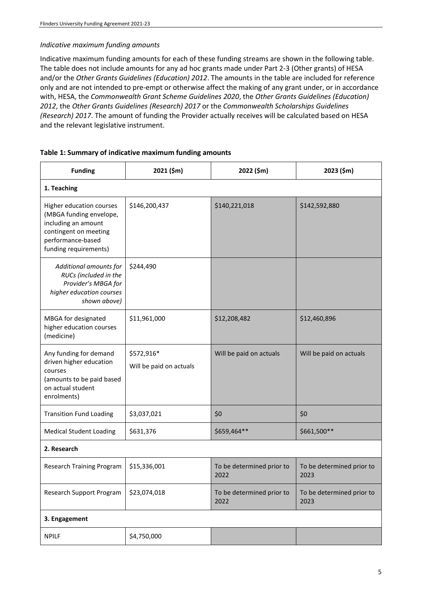#### *Indicative maximum funding amounts*

Indicative maximum funding amounts for each of these funding streams are shown in the following table. The table does not include amounts for any ad hoc grants made under Part 2-3 (Other grants) of HESA and/or the *Other Grants Guidelines (Education) 2012*. The amounts in the table are included for reference only and are not intended to pre-empt or otherwise affect the making of any grant under, or in accordance with, HESA, the *Commonwealth Grant Scheme Guidelines 2020*, the *Other Grants Guidelines (Education) 2012*, the *Other Grants Guidelines (Research) 2017* or the *Commonwealth Scholarships Guidelines (Research) 2017*. The amount of funding the Provider actually receives will be calculated based on HESA and the relevant legislative instrument.

| <b>Funding</b>                                                                                                                                    | 2021 (\$m)                            | 2022 (\$m)                        | 2023 (\$m)                        |
|---------------------------------------------------------------------------------------------------------------------------------------------------|---------------------------------------|-----------------------------------|-----------------------------------|
| 1. Teaching                                                                                                                                       |                                       |                                   |                                   |
| Higher education courses<br>(MBGA funding envelope,<br>including an amount<br>contingent on meeting<br>performance-based<br>funding requirements) | \$146,200,437                         | \$140,221,018                     | \$142,592,880                     |
| Additional amounts for<br>RUCs (included in the<br>Provider's MBGA for<br>higher education courses<br>shown above)                                | \$244,490                             |                                   |                                   |
| MBGA for designated<br>higher education courses<br>(medicine)                                                                                     | \$11,961,000                          | \$12,208,482                      | \$12,460,896                      |
| Any funding for demand<br>driven higher education<br>courses<br>(amounts to be paid based<br>on actual student<br>enrolments)                     | \$572,916*<br>Will be paid on actuals | Will be paid on actuals           | Will be paid on actuals           |
| <b>Transition Fund Loading</b>                                                                                                                    | \$3,037,021                           | \$0                               | \$0                               |
| <b>Medical Student Loading</b>                                                                                                                    | \$631,376                             | \$659,464**                       | \$661,500**                       |
| 2. Research                                                                                                                                       |                                       |                                   |                                   |
| Research Training Program                                                                                                                         | \$15,336,001                          | To be determined prior to<br>2022 | To be determined prior to<br>2023 |
| Research Support Program                                                                                                                          | \$23,074,018                          | To be determined prior to<br>2022 | To be determined prior to<br>2023 |
| 3. Engagement                                                                                                                                     |                                       |                                   |                                   |
| <b>NPILF</b>                                                                                                                                      | \$4,750,000                           |                                   |                                   |

#### **Table 1: Summary of indicative maximum funding amounts**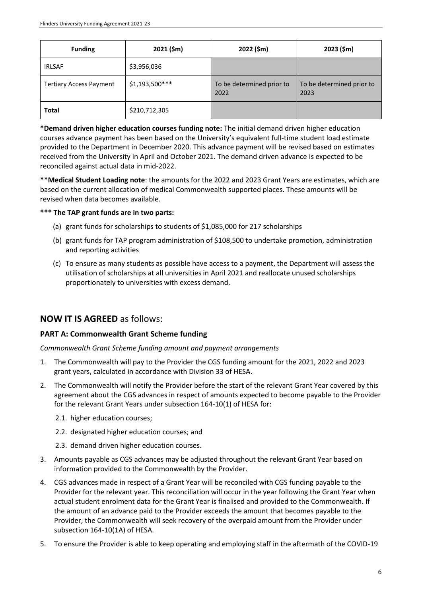| <b>Funding</b>                 | 2021 (\$m)      | 2022 (\$m)                        | 2023 (\$m)                        |
|--------------------------------|-----------------|-----------------------------------|-----------------------------------|
| <b>IRLSAF</b>                  | \$3,956,036     |                                   |                                   |
| <b>Tertiary Access Payment</b> | $$1,193,500***$ | To be determined prior to<br>2022 | To be determined prior to<br>2023 |
| <b>Total</b>                   | \$210,712,305   |                                   |                                   |

**\*Demand driven higher education courses funding note:** The initial demand driven higher education courses advance payment has been based on the University's equivalent full-time student load estimate provided to the Department in December 2020. This advance payment will be revised based on estimates received from the University in April and October 2021. The demand driven advance is expected to be reconciled against actual data in mid-2022.

**\*\*Medical Student Loading note**: the amounts for the 2022 and 2023 Grant Years are estimates, which are based on the current allocation of medical Commonwealth supported places. These amounts will be revised when data becomes available.

#### **\*\*\* The TAP grant funds are in two parts:**

- (a) grant funds for scholarships to students of \$1,085,000 for 217 scholarships
- (b) grant funds for TAP program administration of \$108,500 to undertake promotion, administration and reporting activities
- (c) To ensure as many students as possible have access to a payment, the Department will assess the utilisation of scholarships at all universities in April 2021 and reallocate unused scholarships proportionately to universities with excess demand.

### **NOW IT IS AGREED** as follows:

#### **PART A: Commonwealth Grant Scheme funding**

#### *Commonwealth Grant Scheme funding amount and payment arrangements*

- 1. The Commonwealth will pay to the Provider the CGS funding amount for the 2021, 2022 and 2023 grant years, calculated in accordance with Division 33 of HESA.
- 2. The Commonwealth will notify the Provider before the start of the relevant Grant Year covered by this agreement about the CGS advances in respect of amounts expected to become payable to the Provider for the relevant Grant Years under subsection 164-10(1) of HESA for:
	- 2.1. higher education courses;
	- 2.2. designated higher education courses; and
	- 2.3. demand driven higher education courses.
- 3. Amounts payable as CGS advances may be adjusted throughout the relevant Grant Year based on information provided to the Commonwealth by the Provider.
- 4. CGS advances made in respect of a Grant Year will be reconciled with CGS funding payable to the Provider for the relevant year. This reconciliation will occur in the year following the Grant Year when actual student enrolment data for the Grant Year is finalised and provided to the Commonwealth. If the amount of an advance paid to the Provider exceeds the amount that becomes payable to the Provider, the Commonwealth will seek recovery of the overpaid amount from the Provider under subsection 164-10(1A) of HESA.
- 5. To ensure the Provider is able to keep operating and employing staff in the aftermath of the COVID-19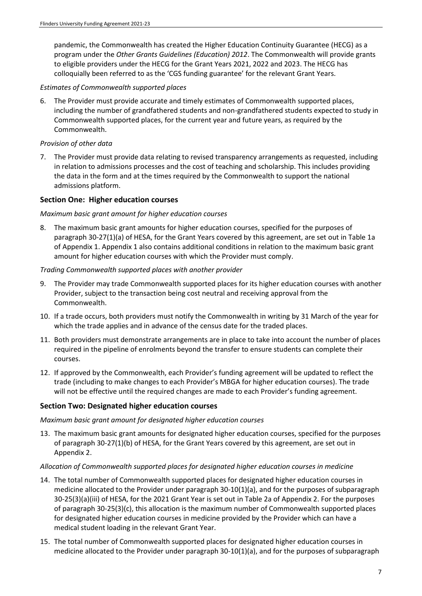pandemic, the Commonwealth has created the Higher Education Continuity Guarantee (HECG) as a program under the *Other Grants Guidelines (Education) 2012*. The Commonwealth will provide grants to eligible providers under the HECG for the Grant Years 2021, 2022 and 2023. The HECG has colloquially been referred to as the 'CGS funding guarantee' for the relevant Grant Years.

#### *Estimates of Commonwealth supported places*

6. The Provider must provide accurate and timely estimates of Commonwealth supported places, including the number of grandfathered students and non-grandfathered students expected to study in Commonwealth supported places, for the current year and future years, as required by the Commonwealth.

#### *Provision of other data*

7. The Provider must provide data relating to revised transparency arrangements as requested, including in relation to admissions processes and the cost of teaching and scholarship. This includes providing the data in the form and at the times required by the Commonwealth to support the national admissions platform.

#### **Section One: Higher education courses**

#### *Maximum basic grant amount for higher education courses*

8. The maximum basic grant amounts for higher education courses, specified for the purposes of paragraph 30-27(1)(a) of HESA, for the Grant Years covered by this agreement, are set out in Table 1a of Appendix 1. Appendix 1 also contains additional conditions in relation to the maximum basic grant amount for higher education courses with which the Provider must comply.

#### *Trading Commonwealth supported places with another provider*

- 9. The Provider may trade Commonwealth supported places for its higher education courses with another Provider, subject to the transaction being cost neutral and receiving approval from the Commonwealth.
- 10. If a trade occurs, both providers must notify the Commonwealth in writing by 31 March of the year for which the trade applies and in advance of the census date for the traded places.
- 11. Both providers must demonstrate arrangements are in place to take into account the number of places required in the pipeline of enrolments beyond the transfer to ensure students can complete their courses.
- 12. If approved by the Commonwealth, each Provider's funding agreement will be updated to reflect the trade (including to make changes to each Provider's MBGA for higher education courses). The trade will not be effective until the required changes are made to each Provider's funding agreement.

#### **Section Two: Designated higher education courses**

#### *Maximum basic grant amount for designated higher education courses*

13. The maximum basic grant amounts for designated higher education courses, specified for the purposes of paragraph 30-27(1)(b) of HESA, for the Grant Years covered by this agreement, are set out in Appendix 2.

#### *Allocation of Commonwealth supported places for designated higher education courses in medicine*

- 14. The total number of Commonwealth supported places for designated higher education courses in medicine allocated to the Provider under paragraph 30-10(1)(a), and for the purposes of subparagraph 30-25(3)(a)(iii) of HESA, for the 2021 Grant Year is set out in Table 2a of Appendix 2. For the purposes of paragraph 30-25(3)(c), this allocation is the maximum number of Commonwealth supported places for designated higher education courses in medicine provided by the Provider which can have a medical student loading in the relevant Grant Year.
- 15. The total number of Commonwealth supported places for designated higher education courses in medicine allocated to the Provider under paragraph 30-10(1)(a), and for the purposes of subparagraph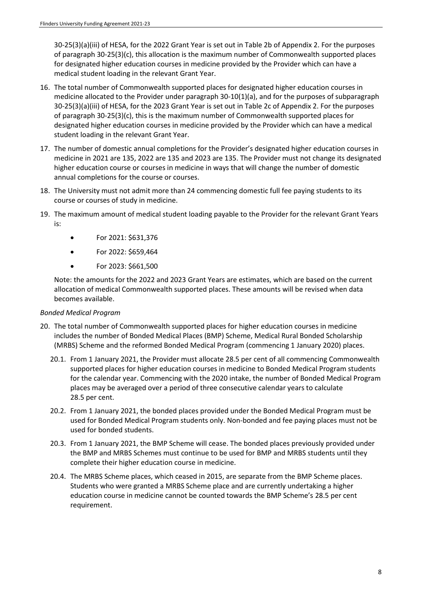30-25(3)(a)(iii) of HESA, for the 2022 Grant Year is set out in Table 2b of Appendix 2. For the purposes of paragraph 30-25(3)(c), this allocation is the maximum number of Commonwealth supported places for designated higher education courses in medicine provided by the Provider which can have a medical student loading in the relevant Grant Year.

- 16. The total number of Commonwealth supported places for designated higher education courses in medicine allocated to the Provider under paragraph 30-10(1)(a), and for the purposes of subparagraph 30-25(3)(a)(iii) of HESA, for the 2023 Grant Year is set out in Table 2c of Appendix 2. For the purposes of paragraph 30-25(3)(c), this is the maximum number of Commonwealth supported places for designated higher education courses in medicine provided by the Provider which can have a medical student loading in the relevant Grant Year.
- 17. The number of domestic annual completions for the Provider's designated higher education courses in medicine in 2021 are 135, 2022 are 135 and 2023 are 135. The Provider must not change its designated higher education course or courses in medicine in ways that will change the number of domestic annual completions for the course or courses.
- 18. The University must not admit more than 24 commencing domestic full fee paying students to its course or courses of study in medicine.
- 19. The maximum amount of medical student loading payable to the Provider for the relevant Grant Years is:
	- For 2021: \$631,376
	- For 2022: \$659,464
	- For 2023: \$661,500

Note: the amounts for the 2022 and 2023 Grant Years are estimates, which are based on the current allocation of medical Commonwealth supported places. These amounts will be revised when data becomes available.

#### *Bonded Medical Program*

- 20. The total number of Commonwealth supported places for higher education courses in medicine includes the number of Bonded Medical Places (BMP) Scheme, Medical Rural Bonded Scholarship (MRBS) Scheme and the reformed Bonded Medical Program (commencing 1 January 2020) places.
	- 20.1. From 1 January 2021, the Provider must allocate 28.5 per cent of all commencing Commonwealth supported places for higher education courses in medicine to Bonded Medical Program students for the calendar year. Commencing with the 2020 intake, the number of Bonded Medical Program places may be averaged over a period of three consecutive calendar years to calculate 28.5 per cent.
	- 20.2. From 1 January 2021, the bonded places provided under the Bonded Medical Program must be used for Bonded Medical Program students only. Non-bonded and fee paying places must not be used for bonded students.
	- 20.3. From 1 January 2021, the BMP Scheme will cease. The bonded places previously provided under the BMP and MRBS Schemes must continue to be used for BMP and MRBS students until they complete their higher education course in medicine.
	- 20.4. The MRBS Scheme places, which ceased in 2015, are separate from the BMP Scheme places. Students who were granted a MRBS Scheme place and are currently undertaking a higher education course in medicine cannot be counted towards the BMP Scheme's 28.5 per cent requirement.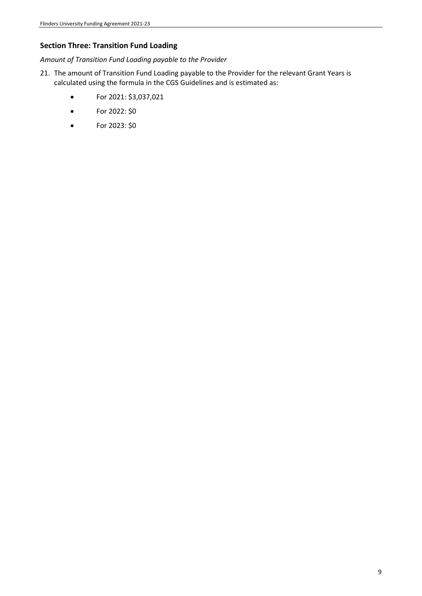#### **Section Three: Transition Fund Loading**

*Amount of Transition Fund Loading payable to the Provider*

- 21. The amount of Transition Fund Loading payable to the Provider for the relevant Grant Years is calculated using the formula in the CGS Guidelines and is estimated as:
	- For 2021: \$3,037,021
	- For 2022: \$0
	- For 2023: \$0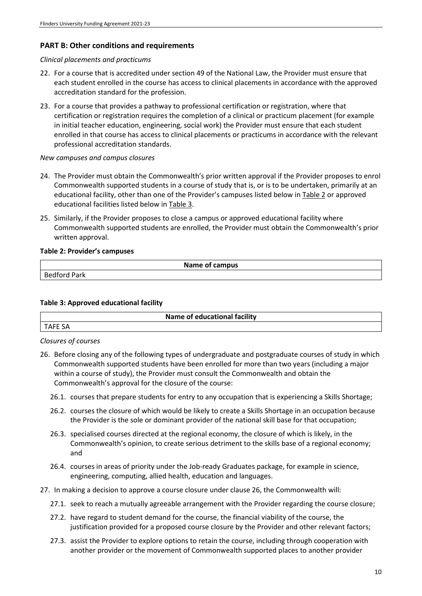#### **PART B: Other conditions and requirements**

#### *Clinical placements and practicums*

- 22. For a course that is accredited under section 49 of the National Law, the Provider must ensure that each student enrolled in the course has access to clinical placements in accordance with the approved accreditation standard for the profession.
- 23. For a course that provides a pathway to professional certification or registration, where that certification or registration requires the completion of a clinical or practicum placement (for example in initial teacher education, engineering, social work) the Provider must ensure that each student enrolled in that course has access to clinical placements or practicums in accordance with the relevant professional accreditation standards.

#### *New campuses and campus closures*

- 24. The Provider must obtain the Commonwealth's prior written approval if the Provider proposes to enrol Commonwealth supported students in a course of study that is, or is to be undertaken, primarily at an educational facility, other than one of the Provider's campuses listed below in Table 2 or approved educational facilities listed below in Table 3.
- 25. Similarly, if the Provider proposes to close a campus or approved educational facility where Commonwealth supported students are enrolled, the Provider must obtain the Commonwealth's prior written approval.

#### **Table 2: Provider's campuses**

| Name of campus         |  |
|------------------------|--|
| Park<br><b>Bedford</b> |  |

#### **Table 3: Approved educational facility**

| Name of educational facility |
|------------------------------|
| sΑ                           |

#### *Closures of courses*

- 26. Before closing any of the following types of undergraduate and postgraduate courses of study in which Commonwealth supported students have been enrolled for more than two years (including a major within a course of study), the Provider must consult the Commonwealth and obtain the Commonwealth's approval for the closure of the course:
	- 26.1. courses that prepare students for entry to any occupation that is experiencing a Skills Shortage;
	- 26.2. courses the closure of which would be likely to create a Skills Shortage in an occupation because the Provider is the sole or dominant provider of the national skill base for that occupation;
	- 26.3. specialised courses directed at the regional economy, the closure of which is likely, in the Commonwealth's opinion, to create serious detriment to the skills base of a regional economy; and
	- 26.4. courses in areas of priority under the Job-ready Graduates package, for example in science, engineering, computing, allied health, education and languages.
- 27. In making a decision to approve a course closure under clause 26, the Commonwealth will:
	- 27.1. seek to reach a mutually agreeable arrangement with the Provider regarding the course closure;
	- 27.2. have regard to student demand for the course, the financial viability of the course, the justification provided for a proposed course closure by the Provider and other relevant factors;
	- 27.3. assist the Provider to explore options to retain the course, including through cooperation with another provider or the movement of Commonwealth supported places to another provider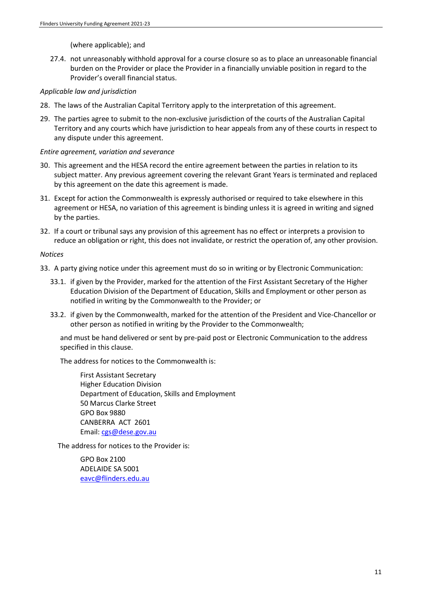(where applicable); and

27.4. not unreasonably withhold approval for a course closure so as to place an unreasonable financial burden on the Provider or place the Provider in a financially unviable position in regard to the Provider's overall financial status.

#### *Applicable law and jurisdiction*

- 28. The laws of the Australian Capital Territory apply to the interpretation of this agreement.
- 29. The parties agree to submit to the non-exclusive jurisdiction of the courts of the Australian Capital Territory and any courts which have jurisdiction to hear appeals from any of these courts in respect to any dispute under this agreement.

#### *Entire agreement, variation and severance*

- 30. This agreement and the HESA record the entire agreement between the parties in relation to its subject matter. Any previous agreement covering the relevant Grant Years is terminated and replaced by this agreement on the date this agreement is made.
- 31. Except for action the Commonwealth is expressly authorised or required to take elsewhere in this agreement or HESA, no variation of this agreement is binding unless it is agreed in writing and signed by the parties.
- 32. If a court or tribunal says any provision of this agreement has no effect or interprets a provision to reduce an obligation or right, this does not invalidate, or restrict the operation of, any other provision.

#### *Notices*

- 33. A party giving notice under this agreement must do so in writing or by Electronic Communication:
	- 33.1. if given by the Provider, marked for the attention of the First Assistant Secretary of the Higher Education Division of the Department of Education, Skills and Employment or other person as notified in writing by the Commonwealth to the Provider; or
	- 33.2. if given by the Commonwealth, marked for the attention of the President and Vice-Chancellor or other person as notified in writing by the Provider to the Commonwealth;

and must be hand delivered or sent by pre-paid post or Electronic Communication to the address specified in this clause.

The address for notices to the Commonwealth is:

First Assistant Secretary Higher Education Division Department of Education, Skills and Employment 50 Marcus Clarke Street GPO Box 9880 CANBERRA ACT 2601 Email: [cgs@dese.gov.au](mailto:cgs@dese.gov.au)

The address for notices to the Provider is:

GPO Box 2100 ADELAIDE SA 5001 [eavc@flinders.edu.au](mailto:eavc@flinders.edu.au)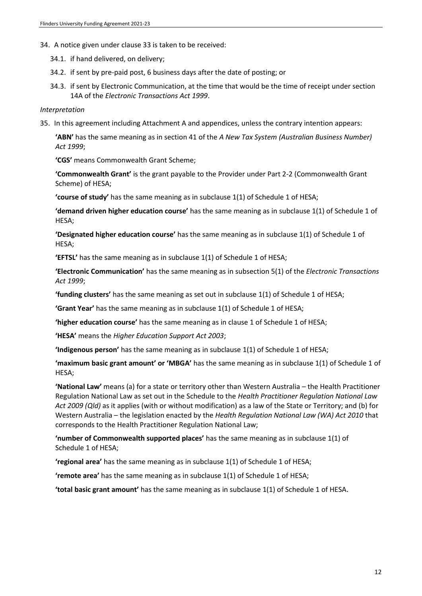- 34. A notice given under clause 33 is taken to be received:
	- 34.1. if hand delivered, on delivery;
	- 34.2. if sent by pre-paid post, 6 business days after the date of posting; or
	- 34.3. if sent by Electronic Communication, at the time that would be the time of receipt under section 14A of the *Electronic Transactions Act 1999*.

*Interpretation*

35. In this agreement including Attachment A and appendices, unless the contrary intention appears:

**'ABN'** has the same meaning as in section 41 of the *A New Tax System (Australian Business Number) Act 1999*;

**'CGS'** means Commonwealth Grant Scheme;

**'Commonwealth Grant'** is the grant payable to the Provider under Part 2-2 (Commonwealth Grant Scheme) of HESA;

**'course of study'** has the same meaning as in subclause 1(1) of Schedule 1 of HESA;

**'demand driven higher education course'** has the same meaning as in subclause 1(1) of Schedule 1 of HESA;

**'Designated higher education course'** has the same meaning as in subclause 1(1) of Schedule 1 of HESA;

**'EFTSL'** has the same meaning as in subclause 1(1) of Schedule 1 of HESA;

**'Electronic Communication'** has the same meaning as in subsection 5(1) of the *Electronic Transactions Act 1999*;

**'funding clusters'** has the same meaning as set out in subclause 1(1) of Schedule 1 of HESA;

**'Grant Year'** has the same meaning as in subclause 1(1) of Schedule 1 of HESA;

**'higher education course'** has the same meaning as in clause 1 of Schedule 1 of HESA;

**'HESA'** means the *Higher Education Support Act 2003*;

**'Indigenous person'** has the same meaning as in subclause 1(1) of Schedule 1 of HESA;

**'maximum basic grant amount' or 'MBGA'** has the same meaning as in subclause 1(1) of Schedule 1 of HESA;

**'National Law'** means (a) for a state or territory other than Western Australia – the Health Practitioner Regulation National Law as set out in the Schedule to the *Health Practitioner Regulation National Law Act 2009 (Qld)* as it applies (with or without modification) as a law of the State or Territory; and (b) for Western Australia – the legislation enacted by the *Health Regulation National Law (WA) Act 2010* that corresponds to the Health Practitioner Regulation National Law;

**'number of Commonwealth supported places'** has the same meaning as in subclause 1(1) of Schedule 1 of HESA;

**'regional area'** has the same meaning as in subclause 1(1) of Schedule 1 of HESA;

**'remote area'** has the same meaning as in subclause 1(1) of Schedule 1 of HESA;

**'total basic grant amount'** has the same meaning as in subclause 1(1) of Schedule 1 of HESA.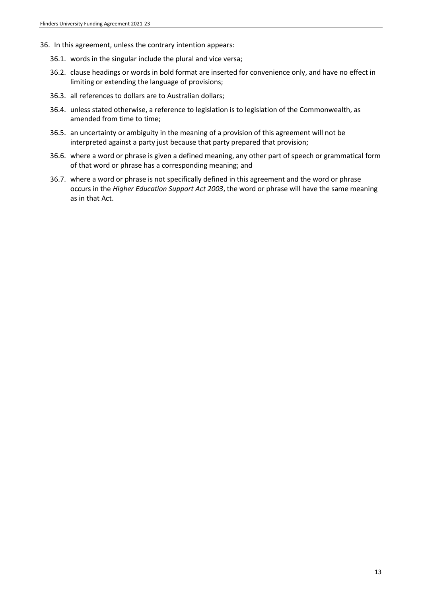- 36. In this agreement, unless the contrary intention appears:
	- 36.1. words in the singular include the plural and vice versa;
	- 36.2. clause headings or words in bold format are inserted for convenience only, and have no effect in limiting or extending the language of provisions;
	- 36.3. all references to dollars are to Australian dollars;
	- 36.4. unless stated otherwise, a reference to legislation is to legislation of the Commonwealth, as amended from time to time;
	- 36.5. an uncertainty or ambiguity in the meaning of a provision of this agreement will not be interpreted against a party just because that party prepared that provision;
	- 36.6. where a word or phrase is given a defined meaning, any other part of speech or grammatical form of that word or phrase has a corresponding meaning; and
	- 36.7. where a word or phrase is not specifically defined in this agreement and the word or phrase occurs in the *Higher Education Support Act 2003*, the word or phrase will have the same meaning as in that Act.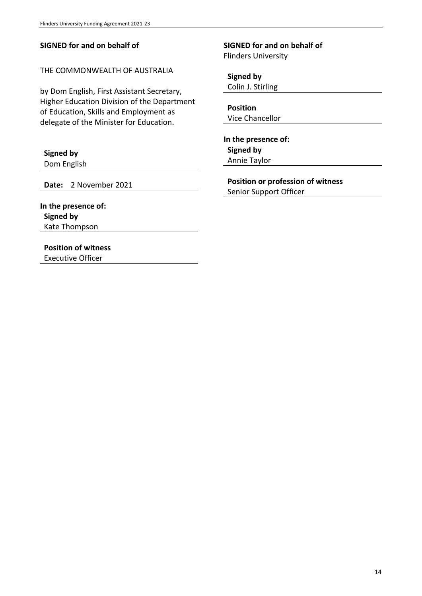#### **SIGNED for and on behalf of**

THE COMMONWEALTH OF AUSTRALIA

by Dom English, First Assistant Secretary, Higher Education Division of the Department of Education, Skills and Employment as delegate of the Minister for Education.

#### **Signed by**

Dom English

**Date:** 2 November 2021

**In the presence of: Signed by**  Kate Thompson

**Position of witness** 

Executive Officer

**SIGNED for and on behalf of** Flinders University

**Signed by**  Colin J. Stirling

**Position**  Vice Chancellor

**In the presence of: Signed by**  Annie Taylor

**Position or profession of witness**  Senior Support Officer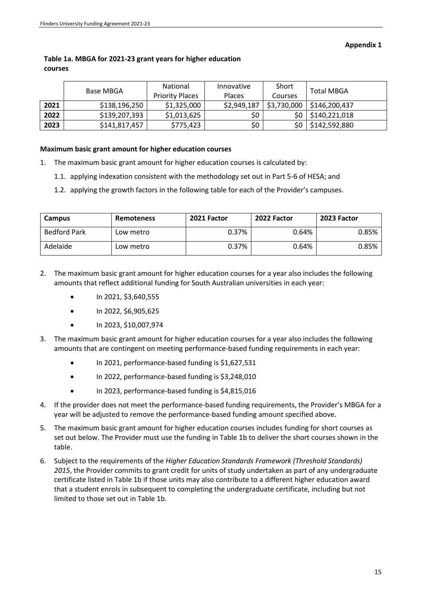#### **Table 1a. MBGA for 2021-23 grant years for higher education courses**

|      | Base MBGA     | <b>National</b><br><b>Priority Places</b> | Innovative<br><b>Places</b> | Short<br>Courses | <b>Total MBGA</b> |
|------|---------------|-------------------------------------------|-----------------------------|------------------|-------------------|
| 2021 | \$138,196,250 | \$1,325,000                               | \$2,949,187                 | \$3,730,000      | \$146,200,437     |
| 2022 | \$139,207,393 | \$1,013,625                               | \$0                         | \$0              | \$140,221,018     |
| 2023 | \$141,817,457 | \$775,423                                 | \$0                         | \$0              | \$142,592,880     |

#### **Maximum basic grant amount for higher education courses**

- 1. The maximum basic grant amount for higher education courses is calculated by:
	- 1.1. applying indexation consistent with the methodology set out in Part 5-6 of HESA; and
	- 1.2. applying the growth factors in the following table for each of the Provider's campuses.

| <b>Campus</b> | <b>Remoteness</b> | 2021 Factor | 2022 Factor | 2023 Factor |
|---------------|-------------------|-------------|-------------|-------------|
| Bedford Park  | Low metro         | 0.37%       | 0.64%       | 0.85%       |
| Adelaide      | Low metro         | 0.37%       | 0.64%       | 0.85%       |

- 2. The maximum basic grant amount for higher education courses for a year also includes the following amounts that reflect additional funding for South Australian universities in each year:
	- In 2021, \$3,640,555
	- In 2022, \$6,905,625
	- In 2023, \$10,007,974
- 3. The maximum basic grant amount for higher education courses for a year also includes the following amounts that are contingent on meeting performance-based funding requirements in each year:
	- In 2021, performance-based funding is \$1,627,531
	- In 2022, performance-based funding is \$3,248,010
	- In 2023, performance-based funding is \$4,815,016
- 4. If the provider does not meet the performance-based funding requirements, the Provider's MBGA for a year will be adjusted to remove the performance-based funding amount specified above.
- 5. The maximum basic grant amount for higher education courses includes funding for short courses as set out below. The Provider must use the funding in Table 1b to deliver the short courses shown in the table.
- 6. Subject to the requirements of the *Higher Education Standards Framework (Threshold Standards) 2015*, the Provider commits to grant credit for units of study undertaken as part of any undergraduate certificate listed in Table 1b if those units may also contribute to a different higher education award that a student enrols in subsequent to completing the undergraduate certificate, including but not limited to those set out in Table 1b.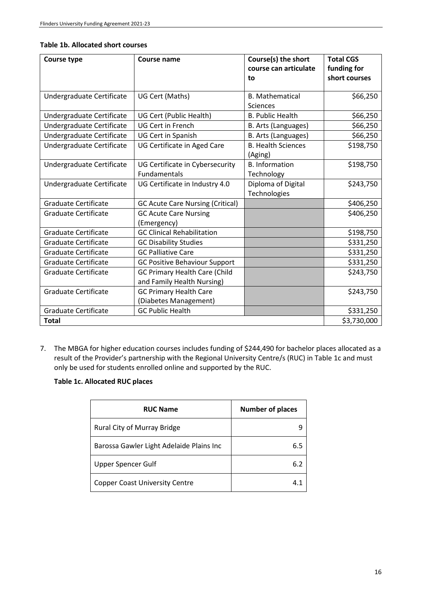| <b>Course type</b>          | Course name                                                        | Course(s) the short<br>course can articulate<br>to | <b>Total CGS</b><br>funding for<br>short courses |
|-----------------------------|--------------------------------------------------------------------|----------------------------------------------------|--------------------------------------------------|
| Undergraduate Certificate   | UG Cert (Maths)                                                    | <b>B.</b> Mathematical<br><b>Sciences</b>          | \$66,250                                         |
| Undergraduate Certificate   | UG Cert (Public Health)                                            | <b>B. Public Health</b>                            | \$66,250                                         |
| Undergraduate Certificate   | <b>UG Cert in French</b>                                           | B. Arts (Languages)                                | \$66,250                                         |
| Undergraduate Certificate   | UG Cert in Spanish                                                 | B. Arts (Languages)                                | \$66,250                                         |
| Undergraduate Certificate   | UG Certificate in Aged Care                                        | <b>B. Health Sciences</b><br>(Aging)               | \$198,750                                        |
| Undergraduate Certificate   | UG Certificate in Cybersecurity<br><b>Fundamentals</b>             | <b>B.</b> Information<br>Technology                | \$198,750                                        |
| Undergraduate Certificate   | UG Certificate in Industry 4.0                                     | Diploma of Digital<br>Technologies                 | \$243,750                                        |
| <b>Graduate Certificate</b> | <b>GC Acute Care Nursing (Critical)</b>                            |                                                    | \$406,250                                        |
| Graduate Certificate        | <b>GC Acute Care Nursing</b><br>(Emergency)                        |                                                    | \$406,250                                        |
| <b>Graduate Certificate</b> | <b>GC Clinical Rehabilitation</b>                                  |                                                    | \$198,750                                        |
| <b>Graduate Certificate</b> | <b>GC Disability Studies</b>                                       |                                                    | \$331,250                                        |
| <b>Graduate Certificate</b> | <b>GC Palliative Care</b>                                          |                                                    | \$331,250                                        |
| <b>Graduate Certificate</b> | <b>GC Positive Behaviour Support</b>                               |                                                    | \$331,250                                        |
| Graduate Certificate        | <b>GC Primary Health Care (Child</b><br>and Family Health Nursing) |                                                    | \$243,750                                        |
| <b>Graduate Certificate</b> | <b>GC Primary Health Care</b><br>(Diabetes Management)             |                                                    | \$243,750                                        |
| <b>Graduate Certificate</b> | <b>GC Public Health</b>                                            |                                                    | \$331,250                                        |
| Total                       |                                                                    |                                                    | \$3,730,000                                      |

7. The MBGA for higher education courses includes funding of \$244,490 for bachelor places allocated as a result of the Provider's partnership with the Regional University Centre/s (RUC) in Table 1c and must only be used for students enrolled online and supported by the RUC.

#### **Table 1c. Allocated RUC places**

| <b>RUC Name</b>                          | <b>Number of places</b> |
|------------------------------------------|-------------------------|
| Rural City of Murray Bridge              |                         |
| Barossa Gawler Light Adelaide Plains Inc | 6.5                     |
| <b>Upper Spencer Gulf</b>                | 62                      |
| <b>Copper Coast University Centre</b>    |                         |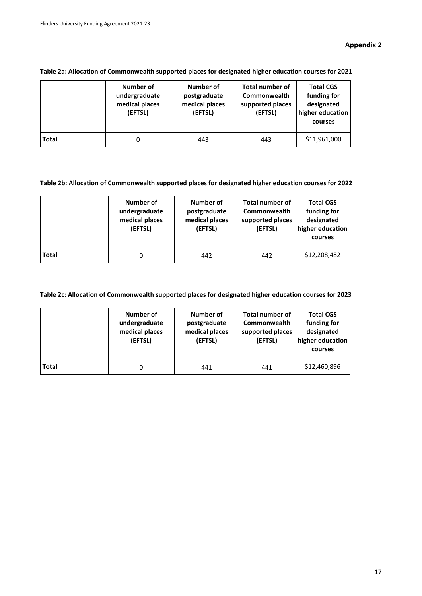#### **Appendix 2**

|              | Number of<br>undergraduate<br>medical places<br>(EFTSL) | Number of<br>postgraduate<br>medical places<br>(EFTSL) | <b>Total number of</b><br>Commonwealth<br>supported places<br>(EFTSL) | <b>Total CGS</b><br>funding for<br>designated<br>higher education<br>courses |
|--------------|---------------------------------------------------------|--------------------------------------------------------|-----------------------------------------------------------------------|------------------------------------------------------------------------------|
| <b>Total</b> |                                                         | 443                                                    | 443                                                                   | \$11,961,000                                                                 |

#### **Table 2a: Allocation of Commonwealth supported places for designated higher education courses for 2021**

#### **Table 2b: Allocation of Commonwealth supported places for designated higher education courses for 2022**

|              | Number of<br>undergraduate<br>medical places<br>(EFTSL) | Number of<br>postgraduate<br>medical places<br>(EFTSL) | Total number of<br>Commonwealth<br>supported places<br>(EFTSL) | <b>Total CGS</b><br>funding for<br>designated<br>higher education<br>courses |
|--------------|---------------------------------------------------------|--------------------------------------------------------|----------------------------------------------------------------|------------------------------------------------------------------------------|
| <b>Total</b> | 0                                                       | 442                                                    | 442                                                            | \$12,208,482                                                                 |

#### **Table 2c: Allocation of Commonwealth supported places for designated higher education courses for 2023**

|              | Number of<br>undergraduate<br>medical places<br>(EFTSL) | Number of<br>postgraduate<br>medical places<br>(EFTSL) | Total number of<br>Commonwealth<br>supported places<br>(EFTSL) | <b>Total CGS</b><br>funding for<br>designated<br>higher education<br>courses |
|--------------|---------------------------------------------------------|--------------------------------------------------------|----------------------------------------------------------------|------------------------------------------------------------------------------|
| <b>Total</b> | 0                                                       | 441                                                    | 441                                                            | \$12,460,896                                                                 |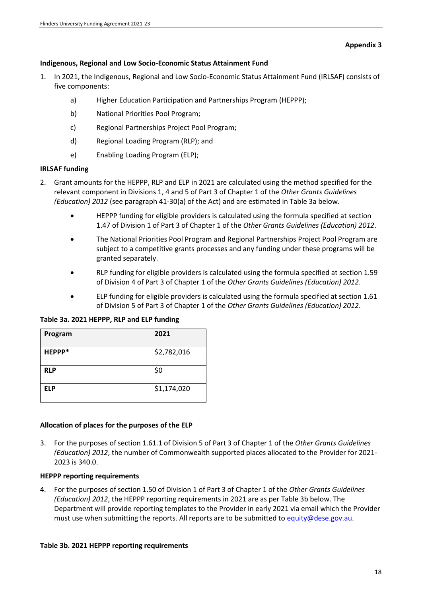#### **Appendix 3**

#### **Indigenous, Regional and Low Socio-Economic Status Attainment Fund**

- 1. In 2021, the Indigenous, Regional and Low Socio-Economic Status Attainment Fund (IRLSAF) consists of five components:
	- a) Higher Education Participation and Partnerships Program (HEPPP);
	- b) National Priorities Pool Program;
	- c) Regional Partnerships Project Pool Program;
	- d) Regional Loading Program (RLP); and
	- e) Enabling Loading Program (ELP);

#### **IRLSAF funding**

- 2. Grant amounts for the HEPPP, RLP and ELP in 2021 are calculated using the method specified for the relevant component in Divisions 1, 4 and 5 of Part 3 of Chapter 1 of the *Other Grants Guidelines (Education) 2012* (see paragraph 41-30(a) of the Act) and are estimated in Table 3a below.
	- HEPPP funding for eligible providers is calculated using the formula specified at section 1.47 of Division 1 of Part 3 of Chapter 1 of the *Other Grants Guidelines (Education) 2012*.
	- The National Priorities Pool Program and Regional Partnerships Project Pool Program are subject to a competitive grants processes and any funding under these programs will be granted separately.
	- RLP funding for eligible providers is calculated using the formula specified at section 1.59 of Division 4 of Part 3 of Chapter 1 of the *Other Grants Guidelines (Education) 2012*.
	- ELP funding for eligible providers is calculated using the formula specified at section 1.61 of Division 5 of Part 3 of Chapter 1 of the *Other Grants Guidelines (Education) 2012*.

**Table 3a. 2021 HEPPP, RLP and ELP funding**

| Program    | 2021        |
|------------|-------------|
| HEPPP*     | \$2,782,016 |
| <b>RLP</b> | \$0         |
| <b>ELP</b> | \$1,174,020 |

#### **Allocation of places for the purposes of the ELP**

3. For the purposes of section 1.61.1 of Division 5 of Part 3 of Chapter 1 of the *Other Grants Guidelines (Education) 2012*, the number of Commonwealth supported places allocated to the Provider for 2021- 2023 is 340.0.

#### **HEPPP reporting requirements**

4. For the purposes of section 1.50 of Division 1 of Part 3 of Chapter 1 of the *Other Grants Guidelines (Education) 2012*, the HEPPP reporting requirements in 2021 are as per Table 3b below. The Department will provide reporting templates to the Provider in early 2021 via email which the Provider must use when submitting the reports. All reports are to be submitted to [equity@dese.gov.au.](mailto:equity@dese.gov.au)

#### **Table 3b. 2021 HEPPP reporting requirements**